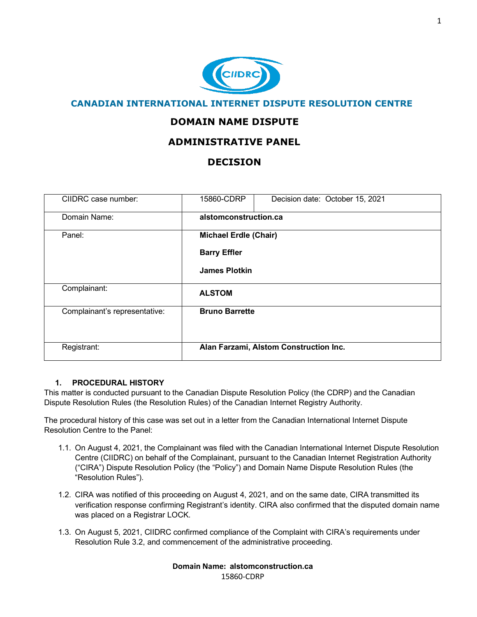

# **CANADIAN INTERNATIONAL INTERNET DISPUTE RESOLUTION CENTRE**

# **DOMAIN NAME DISPUTE**

# **ADMINISTRATIVE PANEL**

# **DECISION**

| CIIDRC case number:           | 15860-CDRP                             | Decision date: October 15, 2021 |  |
|-------------------------------|----------------------------------------|---------------------------------|--|
| Domain Name:                  | alstomconstruction.ca                  |                                 |  |
| Panel:                        | <b>Michael Erdle (Chair)</b>           |                                 |  |
|                               | <b>Barry Effler</b>                    |                                 |  |
|                               | <b>James Plotkin</b>                   |                                 |  |
| Complainant:                  | <b>ALSTOM</b>                          |                                 |  |
| Complainant's representative: | <b>Bruno Barrette</b>                  |                                 |  |
|                               |                                        |                                 |  |
| Registrant:                   | Alan Farzami, Alstom Construction Inc. |                                 |  |

## **1. PROCEDURAL HISTORY**

This matter is conducted pursuant to the Canadian Dispute Resolution Policy (the CDRP) and the Canadian Dispute Resolution Rules (the Resolution Rules) of the Canadian Internet Registry Authority.

The procedural history of this case was set out in a letter from the Canadian International Internet Dispute Resolution Centre to the Panel:

- 1.1. On August 4, 2021, the Complainant was filed with the Canadian International Internet Dispute Resolution Centre (CIIDRC) on behalf of the Complainant, pursuant to the Canadian Internet Registration Authority ("CIRA") Dispute Resolution Policy (the "Policy") and Domain Name Dispute Resolution Rules (the "Resolution Rules").
- 1.2. CIRA was notified of this proceeding on August 4, 2021, and on the same date, CIRA transmitted its verification response confirming Registrant's identity. CIRA also confirmed that the disputed domain name was placed on a Registrar LOCK.
- 1.3. On August 5, 2021, CIIDRC confirmed compliance of the Complaint with CIRA's requirements under Resolution Rule 3.2, and commencement of the administrative proceeding.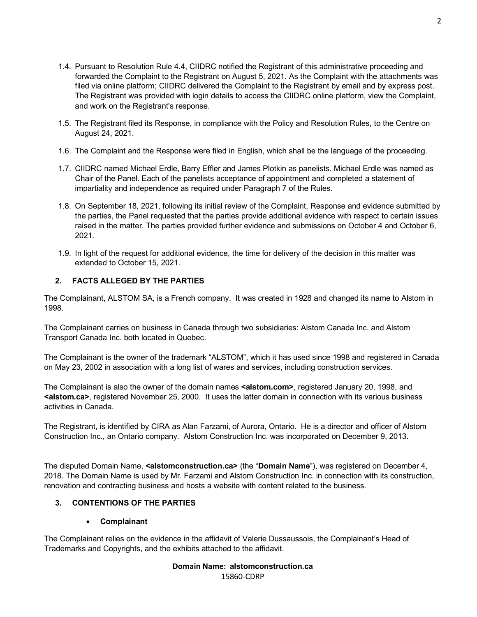- 1.4. Pursuant to Resolution Rule 4.4, CIIDRC notified the Registrant of this administrative proceeding and forwarded the Complaint to the Registrant on August 5, 2021. As the Complaint with the attachments was filed via online platform; CIIDRC delivered the Complaint to the Registrant by email and by express post. The Registrant was provided with login details to access the CIIDRC online platform, view the Complaint, and work on the Registrant's response.
- 1.5. The Registrant filed its Response, in compliance with the Policy and Resolution Rules, to the Centre on August 24, 2021.
- 1.6. The Complaint and the Response were filed in English, which shall be the language of the proceeding.
- 1.7. CIIDRC named Michael Erdle, Barry Effler and James Plotkin as panelists. Michael Erdle was named as Chair of the Panel. Each of the panelists acceptance of appointment and completed a statement of impartiality and independence as required under Paragraph 7 of the Rules.
- 1.8. On September 18, 2021, following its initial review of the Complaint, Response and evidence submitted by the parties, the Panel requested that the parties provide additional evidence with respect to certain issues raised in the matter. The parties provided further evidence and submissions on October 4 and October 6, 2021.
- 1.9. In light of the request for additional evidence, the time for delivery of the decision in this matter was extended to October 15, 2021.

# **2. FACTS ALLEGED BY THE PARTIES**

The Complainant, ALSTOM SA, is a French company. It was created in 1928 and changed its name to Alstom in 1998.

The Complainant carries on business in Canada through two subsidiaries: Alstom Canada Inc. and Alstom Transport Canada Inc. both located in Quebec.

The Complainant is the owner of the trademark "ALSTOM", which it has used since 1998 and registered in Canada on May 23, 2002 in association with a long list of wares and services, including construction services.

The Complainant is also the owner of the domain names **<alstom.com>**, registered January 20, 1998, and **<alstom.ca>**, registered November 25, 2000. It uses the latter domain in connection with its various business activities in Canada.

The Registrant, is identified by CIRA as Alan Farzami, of Aurora, Ontario. He is a director and officer of Alstom Construction Inc., an Ontario company. Alstom Construction Inc. was incorporated on December 9, 2013.

The disputed Domain Name, **<alstomconstruction.ca>** (the "**Domain Name**"), was registered on December 4, 2018. The Domain Name is used by Mr. Farzami and Alstom Construction Inc. in connection with its construction, renovation and contracting business and hosts a website with content related to the business.

# **3. CONTENTIONS OF THE PARTIES**

# • **Complainant**

The Complainant relies on the evidence in the affidavit of Valerie Dussaussois, the Complainant's Head of Trademarks and Copyrights, and the exhibits attached to the affidavit.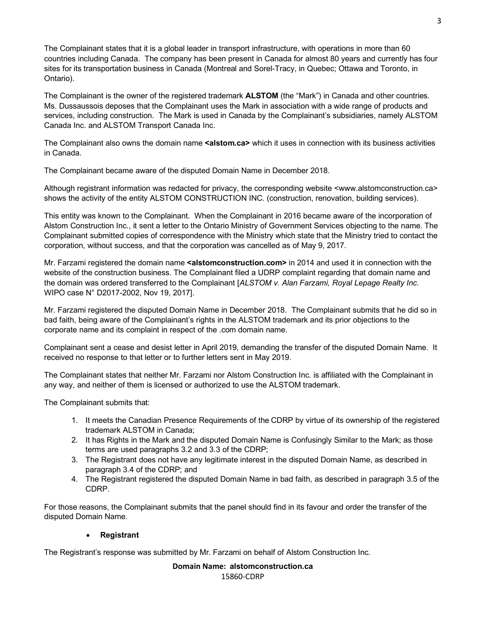The Complainant states that it is a global leader in transport infrastructure, with operations in more than 60 countries including Canada. The company has been present in Canada for almost 80 years and currently has four sites for its transportation business in Canada (Montreal and Sorel-Tracy, in Quebec; Ottawa and Toronto, in Ontario).

The Complainant is the owner of the registered trademark **ALSTOM** (the "Mark") in Canada and other countries. Ms. Dussaussois deposes that the Complainant uses the Mark in association with a wide range of products and services, including construction. The Mark is used in Canada by the Complainant's subsidiaries, namely ALSTOM Canada Inc. and ALSTOM Transport Canada Inc.

The Complainant also owns the domain name **<alstom.ca>** which it uses in connection with its business activities in Canada.

The Complainant became aware of the disputed Domain Name in December 2018.

Although registrant information was redacted for privacy, the corresponding website <www.alstomconstruction.ca> shows the activity of the entity ALSTOM CONSTRUCTION INC. (construction, renovation, building services).

This entity was known to the Complainant. When the Complainant in 2016 became aware of the incorporation of Alstom Construction Inc., it sent a letter to the Ontario Ministry of Government Services objecting to the name. The Complainant submitted copies of correspondence with the Ministry which state that the Ministry tried to contact the corporation, without success, and that the corporation was cancelled as of May 9, 2017.

Mr. Farzami registered the domain name **<alstomconstruction.com>** in 2014 and used it in connection with the website of the construction business. The Complainant filed a UDRP complaint regarding that domain name and the domain was ordered transferred to the Complainant [*ALSTOM v. Alan Farzami, Royal Lepage Realty Inc.* WIPO case N° D2017-2002, Nov 19, 2017].

Mr. Farzami registered the disputed Domain Name in December 2018. The Complainant submits that he did so in bad faith, being aware of the Complainant's rights in the ALSTOM trademark and its prior objections to the corporate name and its complaint in respect of the .com domain name.

Complainant sent a cease and desist letter in April 2019, demanding the transfer of the disputed Domain Name. It received no response to that letter or to further letters sent in May 2019.

The Complainant states that neither Mr. Farzami nor Alstom Construction Inc. is affiliated with the Complainant in any way, and neither of them is licensed or authorized to use the ALSTOM trademark.

The Complainant submits that:

- 1. It meets the Canadian Presence Requirements of the CDRP by virtue of its ownership of the registered trademark ALSTOM in Canada;
- 2. It has Rights in the Mark and the disputed Domain Name is Confusingly Similar to the Mark; as those terms are used paragraphs 3.2 and 3.3 of the CDRP;
- 3. The Registrant does not have any legitimate interest in the disputed Domain Name, as described in paragraph 3.4 of the CDRP; and
- 4. The Registrant registered the disputed Domain Name in bad faith, as described in paragraph 3.5 of the CDRP.

For those reasons, the Complainant submits that the panel should find in its favour and order the transfer of the disputed Domain Name.

## • **Registrant**

The Registrant's response was submitted by Mr. Farzami on behalf of Alstom Construction Inc.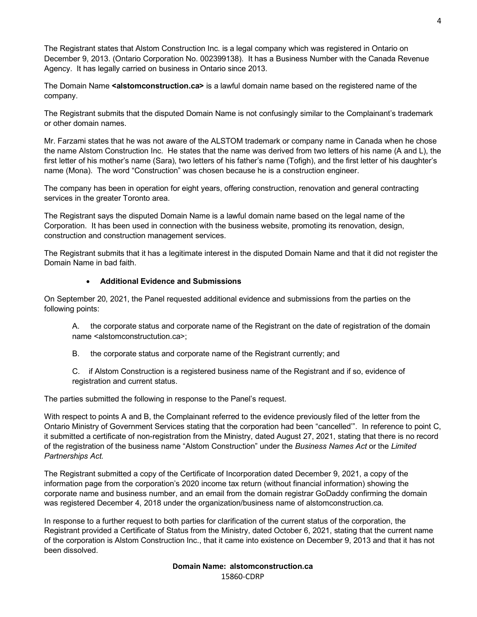The Registrant states that Alstom Construction Inc. is a legal company which was registered in Ontario on December 9, 2013. (Ontario Corporation No. 002399138). It has a Business Number with the Canada Revenue Agency. It has legally carried on business in Ontario since 2013.

The Domain Name **<alstomconstruction.ca>** is a lawful domain name based on the registered name of the company.

The Registrant submits that the disputed Domain Name is not confusingly similar to the Complainant's trademark or other domain names.

Mr. Farzami states that he was not aware of the ALSTOM trademark or company name in Canada when he chose the name Alstom Construction Inc. He states that the name was derived from two letters of his name (A and L), the first letter of his mother's name (Sara), two letters of his father's name (Tofigh), and the first letter of his daughter's name (Mona). The word "Construction" was chosen because he is a construction engineer.

The company has been in operation for eight years, offering construction, renovation and general contracting services in the greater Toronto area.

The Registrant says the disputed Domain Name is a lawful domain name based on the legal name of the Corporation. It has been used in connection with the business website, promoting its renovation, design, construction and construction management services.

The Registrant submits that it has a legitimate interest in the disputed Domain Name and that it did not register the Domain Name in bad faith.

## • **Additional Evidence and Submissions**

On September 20, 2021, the Panel requested additional evidence and submissions from the parties on the following points:

A. the corporate status and corporate name of the Registrant on the date of registration of the domain name <alstomconstructution.ca>;

B. the corporate status and corporate name of the Registrant currently; and

C. if Alstom Construction is a registered business name of the Registrant and if so, evidence of registration and current status.

The parties submitted the following in response to the Panel's request.

With respect to points A and B, the Complainant referred to the evidence previously filed of the letter from the Ontario Ministry of Government Services stating that the corporation had been "cancelled'". In reference to point C, it submitted a certificate of non-registration from the Ministry, dated August 27, 2021, stating that there is no record of the registration of the business name "Alstom Construction" under the *Business Names Act* or the *Limited Partnerships Act.* 

The Registrant submitted a copy of the Certificate of Incorporation dated December 9, 2021, a copy of the information page from the corporation's 2020 income tax return (without financial information) showing the corporate name and business number, and an email from the domain registrar GoDaddy confirming the domain was registered December 4, 2018 under the organization/business name of alstomconstruction.ca.

In response to a further request to both parties for clarification of the current status of the corporation, the Registrant provided a Certificate of Status from the Ministry, dated October 6, 2021, stating that the current name of the corporation is Alstom Construction Inc., that it came into existence on December 9, 2013 and that it has not been dissolved.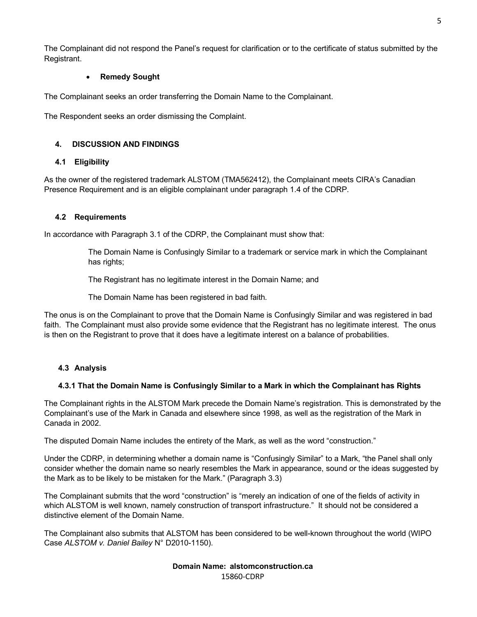The Complainant did not respond the Panel's request for clarification or to the certificate of status submitted by the Registrant.

## • **Remedy Sought**

The Complainant seeks an order transferring the Domain Name to the Complainant.

The Respondent seeks an order dismissing the Complaint.

## **4. DISCUSSION AND FINDINGS**

#### **4.1 Eligibility**

As the owner of the registered trademark ALSTOM (TMA562412), the Complainant meets CIRA's Canadian Presence Requirement and is an eligible complainant under paragraph 1.4 of the CDRP.

#### **4.2 Requirements**

In accordance with Paragraph 3.1 of the CDRP, the Complainant must show that:

The Domain Name is Confusingly Similar to a trademark or service mark in which the Complainant has rights;

The Registrant has no legitimate interest in the Domain Name; and

The Domain Name has been registered in bad faith.

The onus is on the Complainant to prove that the Domain Name is Confusingly Similar and was registered in bad faith. The Complainant must also provide some evidence that the Registrant has no legitimate interest. The onus is then on the Registrant to prove that it does have a legitimate interest on a balance of probabilities.

## **4.3 Analysis**

#### **4.3.1 That the Domain Name is Confusingly Similar to a Mark in which the Complainant has Rights**

The Complainant rights in the ALSTOM Mark precede the Domain Name's registration. This is demonstrated by the Complainant's use of the Mark in Canada and elsewhere since 1998, as well as the registration of the Mark in Canada in 2002.

The disputed Domain Name includes the entirety of the Mark, as well as the word "construction."

Under the CDRP, in determining whether a domain name is "Confusingly Similar" to a Mark, "the Panel shall only consider whether the domain name so nearly resembles the Mark in appearance, sound or the ideas suggested by the Mark as to be likely to be mistaken for the Mark." (Paragraph 3.3)

The Complainant submits that the word "construction" is "merely an indication of one of the fields of activity in which ALSTOM is well known, namely construction of transport infrastructure." It should not be considered a distinctive element of the Domain Name.

The Complainant also submits that ALSTOM has been considered to be well-known throughout the world (WIPO Case *ALSTOM v. Daniel Bailey* N° D2010-1150).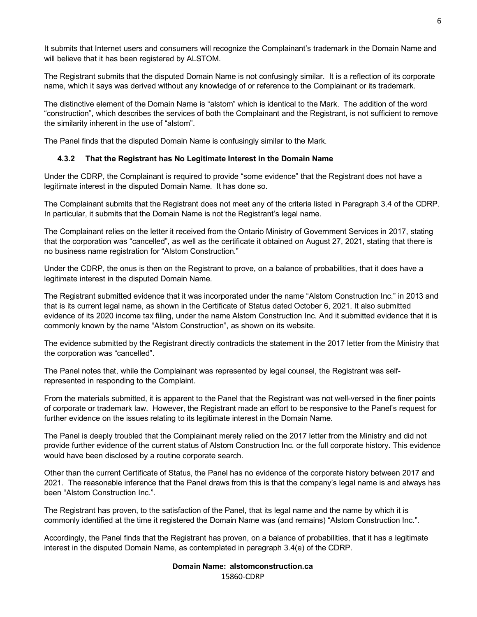It submits that Internet users and consumers will recognize the Complainant's trademark in the Domain Name and will believe that it has been registered by ALSTOM.

The Registrant submits that the disputed Domain Name is not confusingly similar. It is a reflection of its corporate name, which it says was derived without any knowledge of or reference to the Complainant or its trademark.

The distinctive element of the Domain Name is "alstom" which is identical to the Mark. The addition of the word "construction", which describes the services of both the Complainant and the Registrant, is not sufficient to remove the similarity inherent in the use of "alstom".

The Panel finds that the disputed Domain Name is confusingly similar to the Mark.

#### **4.3.2 That the Registrant has No Legitimate Interest in the Domain Name**

Under the CDRP, the Complainant is required to provide "some evidence" that the Registrant does not have a legitimate interest in the disputed Domain Name. It has done so.

The Complainant submits that the Registrant does not meet any of the criteria listed in Paragraph 3.4 of the CDRP. In particular, it submits that the Domain Name is not the Registrant's legal name.

The Complainant relies on the letter it received from the Ontario Ministry of Government Services in 2017, stating that the corporation was "cancelled", as well as the certificate it obtained on August 27, 2021, stating that there is no business name registration for "Alstom Construction."

Under the CDRP, the onus is then on the Registrant to prove, on a balance of probabilities, that it does have a legitimate interest in the disputed Domain Name.

The Registrant submitted evidence that it was incorporated under the name "Alstom Construction Inc." in 2013 and that is its current legal name, as shown in the Certificate of Status dated October 6, 2021. It also submitted evidence of its 2020 income tax filing, under the name Alstom Construction Inc. And it submitted evidence that it is commonly known by the name "Alstom Construction", as shown on its website.

The evidence submitted by the Registrant directly contradicts the statement in the 2017 letter from the Ministry that the corporation was "cancelled".

The Panel notes that, while the Complainant was represented by legal counsel, the Registrant was selfrepresented in responding to the Complaint.

From the materials submitted, it is apparent to the Panel that the Registrant was not well-versed in the finer points of corporate or trademark law. However, the Registrant made an effort to be responsive to the Panel's request for further evidence on the issues relating to its legitimate interest in the Domain Name.

The Panel is deeply troubled that the Complainant merely relied on the 2017 letter from the Ministry and did not provide further evidence of the current status of Alstom Construction Inc. or the full corporate history. This evidence would have been disclosed by a routine corporate search.

Other than the current Certificate of Status, the Panel has no evidence of the corporate history between 2017 and 2021. The reasonable inference that the Panel draws from this is that the company's legal name is and always has been "Alstom Construction Inc.".

The Registrant has proven, to the satisfaction of the Panel, that its legal name and the name by which it is commonly identified at the time it registered the Domain Name was (and remains) "Alstom Construction Inc.".

Accordingly, the Panel finds that the Registrant has proven, on a balance of probabilities, that it has a legitimate interest in the disputed Domain Name, as contemplated in paragraph 3.4(e) of the CDRP.